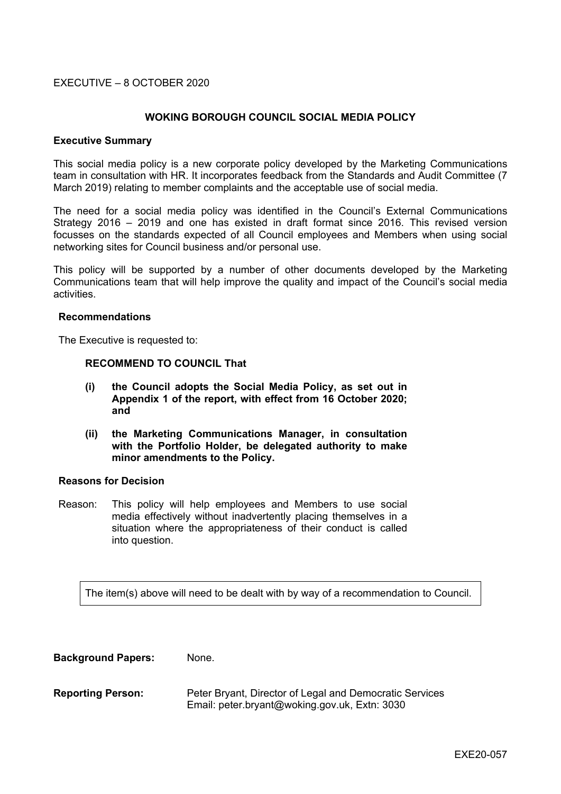## EXECUTIVE – 8 OCTOBER 2020

## **WOKING BOROUGH COUNCIL SOCIAL MEDIA POLICY**

#### **Executive Summary**

This social media policy is a new corporate policy developed by the Marketing Communications team in consultation with HR. It incorporates feedback from the Standards and Audit Committee (7 March 2019) relating to member complaints and the acceptable use of social media.

The need for a social media policy was identified in the Council's External Communications Strategy 2016 – 2019 and one has existed in draft format since 2016. This revised version focusses on the standards expected of all Council employees and Members when using social networking sites for Council business and/or personal use.

This policy will be supported by a number of other documents developed by the Marketing Communications team that will help improve the quality and impact of the Council's social media activities.

#### **Recommendations**

The Executive is requested to:

#### **RECOMMEND TO COUNCIL That**

- **(i) the Council adopts the Social Media Policy, as set out in Appendix 1 of the report, with effect from 16 October 2020; and**
- **(ii) the Marketing Communications Manager, in consultation with the Portfolio Holder, be delegated authority to make minor amendments to the Policy.**

#### **Reasons for Decision**

Reason: This policy will help employees and Members to use social media effectively without inadvertently placing themselves in a situation where the appropriateness of their conduct is called into question.

The item(s) above will need to be dealt with by way of a recommendation to Council.

**Background Papers:** None.

**Reporting Person:** Peter Bryant, Director of Legal and Democratic Services Email: peter.bryant@woking.gov.uk, Extn: 3030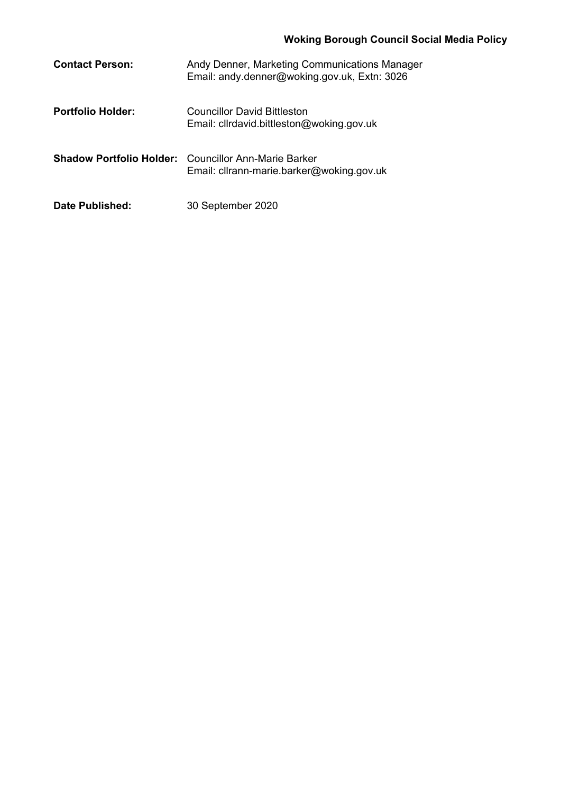# **Woking Borough Council Social Media Policy**

| <b>Contact Person:</b>   | Andy Denner, Marketing Communications Manager<br>Email: andy.denner@woking.gov.uk, Extn: 3026            |
|--------------------------|----------------------------------------------------------------------------------------------------------|
| <b>Portfolio Holder:</b> | <b>Councillor David Bittleston</b><br>Email: clirdavid.bittleston@woking.gov.uk                          |
|                          | <b>Shadow Portfolio Holder:</b> Councillor Ann-Marie Barker<br>Email: cllrann-marie.barker@woking.gov.uk |
| Date Published:          | 30 September 2020                                                                                        |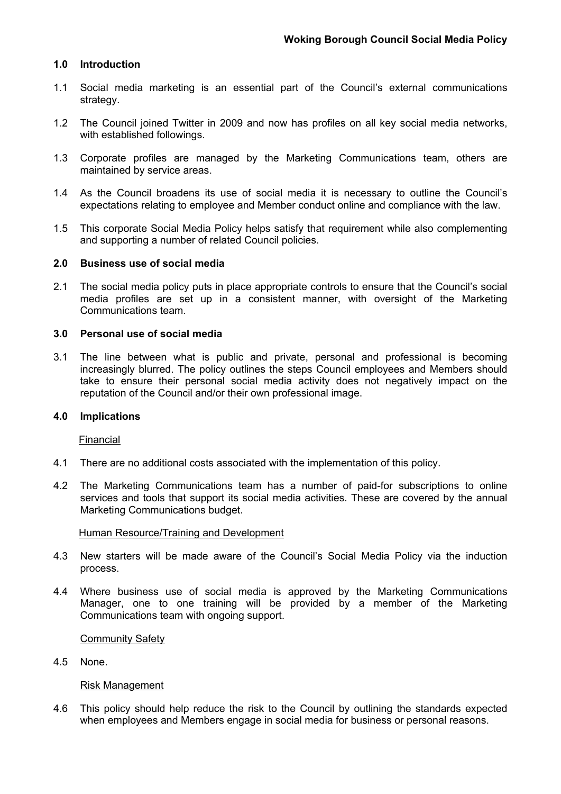## **1.0 Introduction**

- 1.1 Social media marketing is an essential part of the Council's external communications strategy.
- 1.2 The Council joined Twitter in 2009 and now has profiles on all key social media networks, with established followings.
- 1.3 Corporate profiles are managed by the Marketing Communications team, others are maintained by service areas.
- 1.4 As the Council broadens its use of social media it is necessary to outline the Council's expectations relating to employee and Member conduct online and compliance with the law.
- 1.5 This corporate Social Media Policy helps satisfy that requirement while also complementing and supporting a number of related Council policies.

## **2.0 Business use of social media**

2.1 The social media policy puts in place appropriate controls to ensure that the Council's social media profiles are set up in a consistent manner, with oversight of the Marketing Communications team.

#### **3.0 Personal use of social media**

3.1 The line between what is public and private, personal and professional is becoming increasingly blurred. The policy outlines the steps Council employees and Members should take to ensure their personal social media activity does not negatively impact on the reputation of the Council and/or their own professional image.

## **4.0 Implications**

Financial

- 4.1 There are no additional costs associated with the implementation of this policy.
- 4.2 The Marketing Communications team has a number of paid-for subscriptions to online services and tools that support its social media activities. These are covered by the annual Marketing Communications budget.

#### Human Resource/Training and Development

- 4.3 New starters will be made aware of the Council's Social Media Policy via the induction process.
- 4.4 Where business use of social media is approved by the Marketing Communications Manager, one to one training will be provided by a member of the Marketing Communications team with ongoing support.

#### Community Safety

4.5 None.

#### Risk Management

4.6 This policy should help reduce the risk to the Council by outlining the standards expected when employees and Members engage in social media for business or personal reasons.